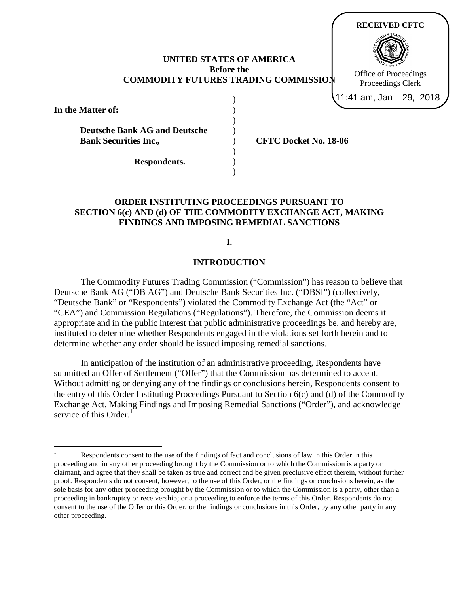### **UNITED STATES OF AMERICA Before the COMMODITY FUTURES TRADING COMMISSION**

) ) ) ) )

**In the Matter of:**

**Deutsche Bank AG and Deutsche Bank Securities Inc.,**

**CFTC Docket No. 18-06**

**Respondents.**

# **ORDER INSTITUTING PROCEEDINGS PURSUANT TO SECTION 6(c) AND (d) OF THE COMMODITY EXCHANGE ACT, MAKING FINDINGS AND IMPOSING REMEDIAL SANCTIONS**

**I.**

#### **INTRODUCTION**

The Commodity Futures Trading Commission ("Commission") has reason to believe that Deutsche Bank AG ("DB AG") and Deutsche Bank Securities Inc. ("DBSI") (collectively, "Deutsche Bank" or "Respondents") violated the Commodity Exchange Act (the "Act" or "CEA") and Commission Regulations ("Regulations"). Therefore, the Commission deems it appropriate and in the public interest that public administrative proceedings be, and hereby are, instituted to determine whether Respondents engaged in the violations set forth herein and to determine whether any order should be issued imposing remedial sanctions.

In anticipation of the institution of an administrative proceeding, Respondents have submitted an Offer of Settlement ("Offer") that the Commission has determined to accept. Without admitting or denying any of the findings or conclusions herein, Respondents consent to the entry of this Order Instituting Proceedings Pursuant to Section 6(c) and (d) of the Commodity Exchange Act, Making Findings and Imposing Remedial Sanctions ("Order"), and acknowledge service of this Order. $<sup>1</sup>$  $<sup>1</sup>$  $<sup>1</sup>$ </sup>



<span id="page-0-0"></span>Respondents consent to the use of the findings of fact and conclusions of law in this Order in this proceeding and in any other proceeding brought by the Commission or to which the Commission is a party or claimant, and agree that they shall be taken as true and correct and be given preclusive effect therein, without further proof. Respondents do not consent, however, to the use of this Order, or the findings or conclusions herein, as the sole basis for any other proceeding brought by the Commission or to which the Commission is a party, other than a proceeding in bankruptcy or receivership; or a proceeding to enforce the terms of this Order. Respondents do not consent to the use of the Offer or this Order, or the findings or conclusions in this Order, by any other party in any other proceeding.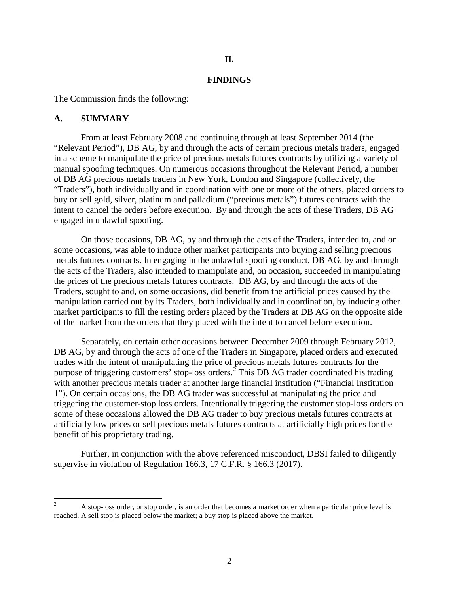## **II.**

#### **FINDINGS**

The Commission finds the following:

#### **A. SUMMARY**

From at least February 2008 and continuing through at least September 2014 (the "Relevant Period"), DB AG, by and through the acts of certain precious metals traders, engaged in a scheme to manipulate the price of precious metals futures contracts by utilizing a variety of manual spoofing techniques. On numerous occasions throughout the Relevant Period, a number of DB AG precious metals traders in New York, London and Singapore (collectively, the "Traders"), both individually and in coordination with one or more of the others, placed orders to buy or sell gold, silver, platinum and palladium ("precious metals") futures contracts with the intent to cancel the orders before execution. By and through the acts of these Traders, DB AG engaged in unlawful spoofing.

On those occasions, DB AG, by and through the acts of the Traders, intended to, and on some occasions, was able to induce other market participants into buying and selling precious metals futures contracts. In engaging in the unlawful spoofing conduct, DB AG, by and through the acts of the Traders, also intended to manipulate and, on occasion, succeeded in manipulating the prices of the precious metals futures contracts. DB AG, by and through the acts of the Traders, sought to and, on some occasions, did benefit from the artificial prices caused by the manipulation carried out by its Traders, both individually and in coordination, by inducing other market participants to fill the resting orders placed by the Traders at DB AG on the opposite side of the market from the orders that they placed with the intent to cancel before execution.

Separately, on certain other occasions between December 2009 through February 2012, DB AG, by and through the acts of one of the Traders in Singapore, placed orders and executed trades with the intent of manipulating the price of precious metals futures contracts for the purpose of triggering customers' stop-loss orders.<sup>[2](#page-1-0)</sup> This DB AG trader coordinated his trading with another precious metals trader at another large financial institution ("Financial Institution 1"). On certain occasions, the DB AG trader was successful at manipulating the price and triggering the customer-stop loss orders. Intentionally triggering the customer stop-loss orders on some of these occasions allowed the DB AG trader to buy precious metals futures contracts at artificially low prices or sell precious metals futures contracts at artificially high prices for the benefit of his proprietary trading.

Further, in conjunction with the above referenced misconduct, DBSI failed to diligently supervise in violation of Regulation 166.3, 17 C.F.R. § 166.3 (2017).

<span id="page-1-0"></span><sup>&</sup>lt;sup>2</sup> A stop-loss order, or stop order, is an order that becomes a market order when a particular price level is reached. A sell stop is placed below the market; a buy stop is placed above the market.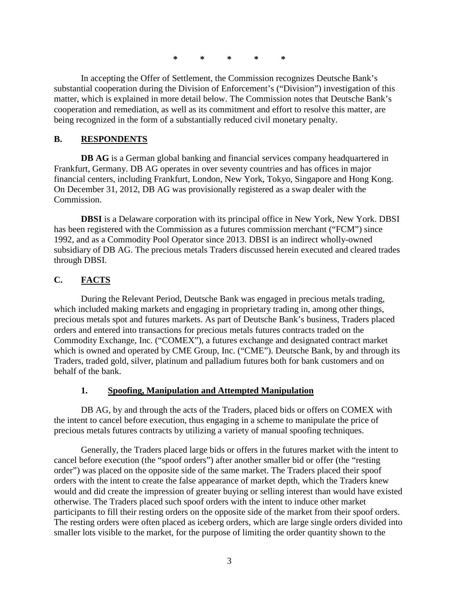**\* \* \* \* \***

In accepting the Offer of Settlement, the Commission recognizes Deutsche Bank's substantial cooperation during the Division of Enforcement's ("Division") investigation of this matter, which is explained in more detail below. The Commission notes that Deutsche Bank's cooperation and remediation, as well as its commitment and effort to resolve this matter, are being recognized in the form of a substantially reduced civil monetary penalty.

## **B. RESPONDENTS**

**DB AG** is a German global banking and financial services company headquartered in Frankfurt, Germany. DB AG operates in over seventy countries and has offices in major financial centers, including Frankfurt, London, New York, Tokyo, Singapore and Hong Kong. On December 31, 2012, DB AG was provisionally registered as a swap dealer with the Commission.

**DBSI** is a Delaware corporation with its principal office in New York, New York. DBSI has been registered with the Commission as a futures commission merchant ("FCM") since 1992, and as a Commodity Pool Operator since 2013. DBSI is an indirect wholly-owned subsidiary of DB AG. The precious metals Traders discussed herein executed and cleared trades through DBSI.

# **C. FACTS**

During the Relevant Period, Deutsche Bank was engaged in precious metals trading, which included making markets and engaging in proprietary trading in, among other things, precious metals spot and futures markets. As part of Deutsche Bank's business, Traders placed orders and entered into transactions for precious metals futures contracts traded on the Commodity Exchange, Inc. ("COMEX"), a futures exchange and designated contract market which is owned and operated by CME Group, Inc. ("CME"). Deutsche Bank, by and through its Traders, traded gold, silver, platinum and palladium futures both for bank customers and on behalf of the bank.

# **1. Spoofing, Manipulation and Attempted Manipulation**

DB AG, by and through the acts of the Traders, placed bids or offers on COMEX with the intent to cancel before execution, thus engaging in a scheme to manipulate the price of precious metals futures contracts by utilizing a variety of manual spoofing techniques.

Generally, the Traders placed large bids or offers in the futures market with the intent to cancel before execution (the "spoof orders") after another smaller bid or offer (the "resting order") was placed on the opposite side of the same market. The Traders placed their spoof orders with the intent to create the false appearance of market depth, which the Traders knew would and did create the impression of greater buying or selling interest than would have existed otherwise. The Traders placed such spoof orders with the intent to induce other market participants to fill their resting orders on the opposite side of the market from their spoof orders. The resting orders were often placed as iceberg orders, which are large single orders divided into smaller lots visible to the market, for the purpose of limiting the order quantity shown to the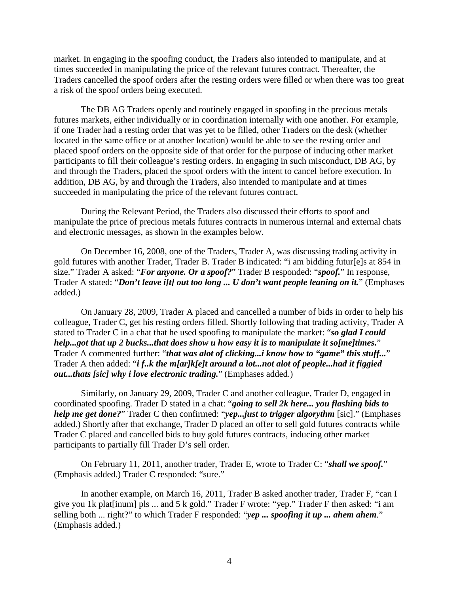market. In engaging in the spoofing conduct, the Traders also intended to manipulate, and at times succeeded in manipulating the price of the relevant futures contract. Thereafter, the Traders cancelled the spoof orders after the resting orders were filled or when there was too great a risk of the spoof orders being executed.

The DB AG Traders openly and routinely engaged in spoofing in the precious metals futures markets, either individually or in coordination internally with one another. For example, if one Trader had a resting order that was yet to be filled, other Traders on the desk (whether located in the same office or at another location) would be able to see the resting order and placed spoof orders on the opposite side of that order for the purpose of inducing other market participants to fill their colleague's resting orders. In engaging in such misconduct, DB AG, by and through the Traders, placed the spoof orders with the intent to cancel before execution. In addition, DB AG, by and through the Traders, also intended to manipulate and at times succeeded in manipulating the price of the relevant futures contract.

During the Relevant Period, the Traders also discussed their efforts to spoof and manipulate the price of precious metals futures contracts in numerous internal and external chats and electronic messages, as shown in the examples below.

On December 16, 2008, one of the Traders, Trader A, was discussing trading activity in gold futures with another Trader, Trader B. Trader B indicated: "i am bidding futur[e]s at 854 in size." Trader A asked: "*For anyone. Or a spoof?*" Trader B responded: "*spoof.*" In response, Trader A stated: "*Don't leave i[t] out too long ... U don't want people leaning on it.*" (Emphases added.)

On January 28, 2009, Trader A placed and cancelled a number of bids in order to help his colleague, Trader C, get his resting orders filled. Shortly following that trading activity, Trader A stated to Trader C in a chat that he used spoofing to manipulate the market: "*so glad I could help...got that up 2 bucks...that does show u how easy it is to manipulate it so[me]times.*" Trader A commented further: "*that was alot of clicking...i know how to "game" this stuff...*" Trader A then added: "*i f..k the m[ar]k[e]t around a lot...not alot of people...had it figgied out...thats [sic] why i love electronic trading.*" (Emphases added.)

Similarly, on January 29, 2009, Trader C and another colleague, Trader D, engaged in coordinated spoofing. Trader D stated in a chat: "*going to sell 2k here... you flashing bids to help me get done?*" Trader C then confirmed: "*yep...just to trigger algorythm* [sic]." (Emphases added.) Shortly after that exchange, Trader D placed an offer to sell gold futures contracts while Trader C placed and cancelled bids to buy gold futures contracts, inducing other market participants to partially fill Trader D's sell order.

On February 11, 2011, another trader, Trader E, wrote to Trader C: "*shall we spoof.*" (Emphasis added.) Trader C responded: "sure."

In another example, on March 16, 2011, Trader B asked another trader, Trader F, "can I give you 1k plat[inum] pls ... and 5 k gold." Trader F wrote: "yep." Trader F then asked: "i am selling both ... right?" to which Trader F responded: "*yep ... spoofing it up ... ahem ahem.*" (Emphasis added.)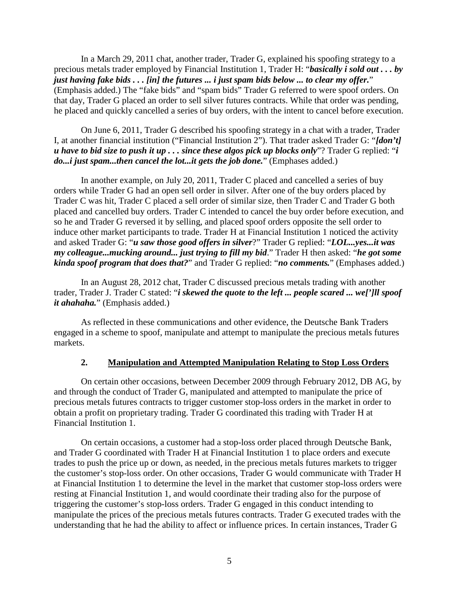In a March 29, 2011 chat, another trader, Trader G, explained his spoofing strategy to a precious metals trader employed by Financial Institution 1, Trader H: "*basically i sold out . . . by just having fake bids . . . [in] the futures ... i just spam bids below ... to clear my offer.*" (Emphasis added.) The "fake bids" and "spam bids" Trader G referred to were spoof orders. On that day, Trader G placed an order to sell silver futures contracts. While that order was pending, he placed and quickly cancelled a series of buy orders, with the intent to cancel before execution.

On June 6, 2011, Trader G described his spoofing strategy in a chat with a trader, Trader I, at another financial institution ("Financial Institution 2"). That trader asked Trader G: "*[don't] u have to bid size to push it up . . . since these algos pick up blocks only*"? Trader G replied: "*i*  do...*i* just spam...then cancel the lot...it gets the job done." (Emphases added.)

In another example, on July 20, 2011, Trader C placed and cancelled a series of buy orders while Trader G had an open sell order in silver. After one of the buy orders placed by Trader C was hit, Trader C placed a sell order of similar size, then Trader C and Trader G both placed and cancelled buy orders. Trader C intended to cancel the buy order before execution, and so he and Trader G reversed it by selling, and placed spoof orders opposite the sell order to induce other market participants to trade. Trader H at Financial Institution 1 noticed the activity and asked Trader G: "*u saw those good offers in silver*?" Trader G replied: "*LOL...yes...it was my colleague...mucking around... just trying to fill my bid*." Trader H then asked: "*he got some kinda spoof program that does that?*" and Trader G replied: "*no comments.*" (Emphases added.)

In an August 28, 2012 chat, Trader C discussed precious metals trading with another trader, Trader J. Trader C stated: "*i skewed the quote to the left ... people scared ... we[']ll spoof it ahahaha.*" (Emphasis added.)

As reflected in these communications and other evidence, the Deutsche Bank Traders engaged in a scheme to spoof, manipulate and attempt to manipulate the precious metals futures markets.

## **2. Manipulation and Attempted Manipulation Relating to Stop Loss Orders**

On certain other occasions, between December 2009 through February 2012, DB AG, by and through the conduct of Trader G, manipulated and attempted to manipulate the price of precious metals futures contracts to trigger customer stop-loss orders in the market in order to obtain a profit on proprietary trading. Trader G coordinated this trading with Trader H at Financial Institution 1.

On certain occasions, a customer had a stop-loss order placed through Deutsche Bank, and Trader G coordinated with Trader H at Financial Institution 1 to place orders and execute trades to push the price up or down, as needed, in the precious metals futures markets to trigger the customer's stop-loss order. On other occasions, Trader G would communicate with Trader H at Financial Institution 1 to determine the level in the market that customer stop-loss orders were resting at Financial Institution 1, and would coordinate their trading also for the purpose of triggering the customer's stop-loss orders. Trader G engaged in this conduct intending to manipulate the prices of the precious metals futures contracts. Trader G executed trades with the understanding that he had the ability to affect or influence prices. In certain instances, Trader G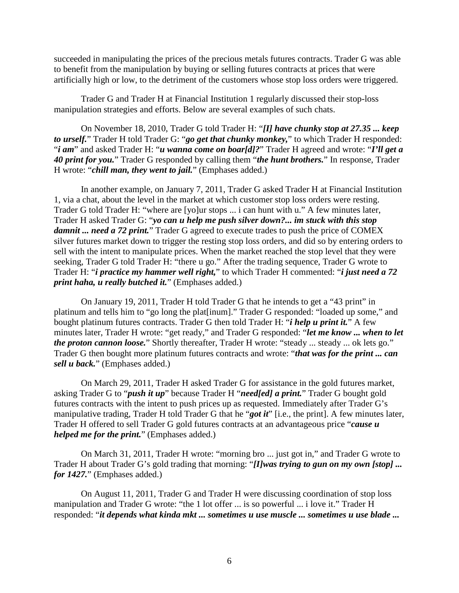succeeded in manipulating the prices of the precious metals futures contracts. Trader G was able to benefit from the manipulation by buying or selling futures contracts at prices that were artificially high or low, to the detriment of the customers whose stop loss orders were triggered.

Trader G and Trader H at Financial Institution 1 regularly discussed their stop-loss manipulation strategies and efforts. Below are several examples of such chats.

On November 18, 2010, Trader G told Trader H: "*[I] have chunky stop at 27.35 ... keep to urself.*" Trader H told Trader G: "*go get that chunky monkey,*" to which Trader H responded: "*i am*" and asked Trader H: "*u wanna come on boar[d]?*" Trader H agreed and wrote: "*I'll get a 40 print for you.*" Trader G responded by calling them "*the hunt brothers.*" In response, Trader H wrote: "*chill man, they went to jail.*" (Emphases added.)

In another example, on January 7, 2011, Trader G asked Trader H at Financial Institution 1, via a chat, about the level in the market at which customer stop loss orders were resting. Trader G told Trader H: "where are [yo]ur stops ... i can hunt with u." A few minutes later, Trader H asked Trader G: "*yo can u help me push silver down?... im stuck with this stop damnit ... need a 72 print.*" Trader G agreed to execute trades to push the price of COMEX silver futures market down to trigger the resting stop loss orders, and did so by entering orders to sell with the intent to manipulate prices. When the market reached the stop level that they were seeking, Trader G told Trader H: "there u go." After the trading sequence, Trader G wrote to Trader H: "*i practice my hammer well right,*" to which Trader H commented: "*i just need a 72 print haha, u really butched it.*" (Emphases added.)

On January 19, 2011, Trader H told Trader G that he intends to get a "43 print" in platinum and tells him to "go long the plat[inum]." Trader G responded: "loaded up some," and bought platinum futures contracts. Trader G then told Trader H: "*i help u print it.*" A few minutes later, Trader H wrote: "get ready," and Trader G responded: "*let me know ... when to let the proton cannon loose.*" Shortly thereafter, Trader H wrote: "steady ... steady ... ok lets go." Trader G then bought more platinum futures contracts and wrote: "*that was for the print ... can sell u back.*" (Emphases added.)

On March 29, 2011, Trader H asked Trader G for assistance in the gold futures market, asking Trader G to "*push it up*" because Trader H "*need[ed] a print.*" Trader G bought gold futures contracts with the intent to push prices up as requested. Immediately after Trader G's manipulative trading, Trader H told Trader G that he "*got it*" [i.e., the print]. A few minutes later, Trader H offered to sell Trader G gold futures contracts at an advantageous price "*cause u helped me for the print.*" (Emphases added.)

On March 31, 2011, Trader H wrote: "morning bro ... just got in," and Trader G wrote to Trader H about Trader G's gold trading that morning: "*[I]was trying to gun on my own [stop] ... for 1427.*" (Emphases added.)

On August 11, 2011, Trader G and Trader H were discussing coordination of stop loss manipulation and Trader G wrote: "the 1 lot offer ... is so powerful ... i love it." Trader H responded: "*it depends what kinda mkt ... sometimes u use muscle ... sometimes u use blade ...*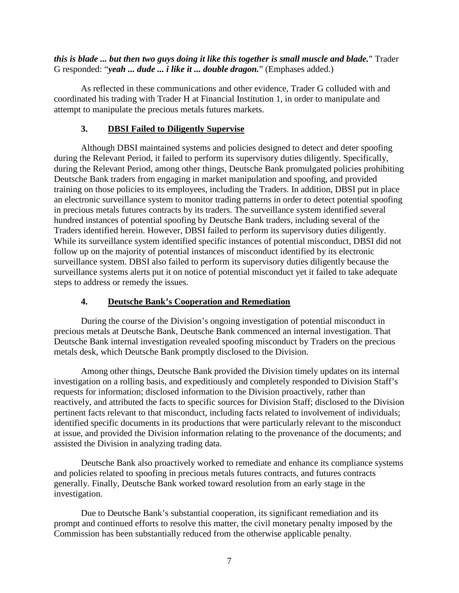*this is blade ... but then two guys doing it like this together is small muscle and blade.*" Trader G responded: "*yeah ... dude ... i like it ... double dragon.*" (Emphases added.)

As reflected in these communications and other evidence, Trader G colluded with and coordinated his trading with Trader H at Financial Institution 1, in order to manipulate and attempt to manipulate the precious metals futures markets.

## **3. DBSI Failed to Diligently Supervise**

Although DBSI maintained systems and policies designed to detect and deter spoofing during the Relevant Period, it failed to perform its supervisory duties diligently. Specifically, during the Relevant Period, among other things, Deutsche Bank promulgated policies prohibiting Deutsche Bank traders from engaging in market manipulation and spoofing, and provided training on those policies to its employees, including the Traders. In addition, DBSI put in place an electronic surveillance system to monitor trading patterns in order to detect potential spoofing in precious metals futures contracts by its traders. The surveillance system identified several hundred instances of potential spoofing by Deutsche Bank traders, including several of the Traders identified herein. However, DBSI failed to perform its supervisory duties diligently. While its surveillance system identified specific instances of potential misconduct, DBSI did not follow up on the majority of potential instances of misconduct identified by its electronic surveillance system. DBSI also failed to perform its supervisory duties diligently because the surveillance systems alerts put it on notice of potential misconduct yet it failed to take adequate steps to address or remedy the issues.

# **4. Deutsche Bank's Cooperation and Remediation**

During the course of the Division's ongoing investigation of potential misconduct in precious metals at Deutsche Bank, Deutsche Bank commenced an internal investigation. That Deutsche Bank internal investigation revealed spoofing misconduct by Traders on the precious metals desk, which Deutsche Bank promptly disclosed to the Division.

Among other things, Deutsche Bank provided the Division timely updates on its internal investigation on a rolling basis, and expeditiously and completely responded to Division Staff's requests for information; disclosed information to the Division proactively, rather than reactively, and attributed the facts to specific sources for Division Staff; disclosed to the Division pertinent facts relevant to that misconduct, including facts related to involvement of individuals; identified specific documents in its productions that were particularly relevant to the misconduct at issue, and provided the Division information relating to the provenance of the documents; and assisted the Division in analyzing trading data.

Deutsche Bank also proactively worked to remediate and enhance its compliance systems and policies related to spoofing in precious metals futures contracts, and futures contracts generally. Finally, Deutsche Bank worked toward resolution from an early stage in the investigation.

Due to Deutsche Bank's substantial cooperation, its significant remediation and its prompt and continued efforts to resolve this matter, the civil monetary penalty imposed by the Commission has been substantially reduced from the otherwise applicable penalty.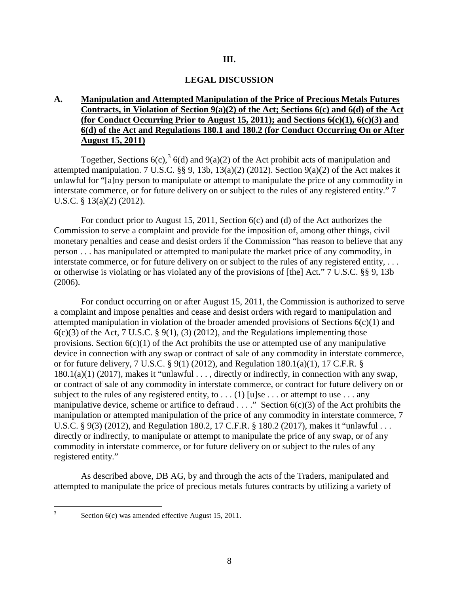#### **III.**

#### **LEGAL DISCUSSION**

## **A. Manipulation and Attempted Manipulation of the Price of Precious Metals Futures Contracts, in Violation of Section 9(a)(2) of the Act; Sections 6(c) and 6(d) of the Act (for Conduct Occurring Prior to August 15, 2011); and Sections 6(c)(1), 6(c)(3) and 6(d) of the Act and Regulations 180.1 and 180.2 (for Conduct Occurring On or After August 15, 2011)**

Together, Sections 6(c),  $3\frac{1}{6}$  $3\frac{1}{6}$  (d) and 9(a)(2) of the Act prohibit acts of manipulation and attempted manipulation. 7 U.S.C. §§ 9, 13b, 13(a)(2) (2012). Section 9(a)(2) of the Act makes it unlawful for "[a]ny person to manipulate or attempt to manipulate the price of any commodity in interstate commerce, or for future delivery on or subject to the rules of any registered entity." 7 U.S.C. § 13(a)(2) (2012).

For conduct prior to August 15, 2011, Section 6(c) and (d) of the Act authorizes the Commission to serve a complaint and provide for the imposition of, among other things, civil monetary penalties and cease and desist orders if the Commission "has reason to believe that any person . . . has manipulated or attempted to manipulate the market price of any commodity, in interstate commerce, or for future delivery on or subject to the rules of any registered entity, . . . or otherwise is violating or has violated any of the provisions of [the] Act." 7 U.S.C. §§ 9, 13b (2006).

For conduct occurring on or after August 15, 2011, the Commission is authorized to serve a complaint and impose penalties and cease and desist orders with regard to manipulation and attempted manipulation in violation of the broader amended provisions of Sections  $6(c)(1)$  and  $6(c)(3)$  of the Act, 7 U.S.C. § 9(1), (3) (2012), and the Regulations implementing those provisions. Section  $6(c)(1)$  of the Act prohibits the use or attempted use of any manipulative device in connection with any swap or contract of sale of any commodity in interstate commerce, or for future delivery, 7 U.S.C. § 9(1) (2012), and Regulation 180.1(a)(1), 17 C.F.R. § 180.1(a)(1) (2017), makes it "unlawful . . . , directly or indirectly, in connection with any swap, or contract of sale of any commodity in interstate commerce, or contract for future delivery on or subject to the rules of any registered entity, to  $\dots$  (1) [u]se  $\dots$  or attempt to use  $\dots$  any manipulative device, scheme or artifice to defraud  $\dots$ ." Section  $6(c)(3)$  of the Act prohibits the manipulation or attempted manipulation of the price of any commodity in interstate commerce, 7 U.S.C. § 9(3) (2012), and Regulation 180.2, 17 C.F.R. § 180.2 (2017), makes it "unlawful . . . directly or indirectly, to manipulate or attempt to manipulate the price of any swap, or of any commodity in interstate commerce, or for future delivery on or subject to the rules of any registered entity."

As described above, DB AG, by and through the acts of the Traders, manipulated and attempted to manipulate the price of precious metals futures contracts by utilizing a variety of

<span id="page-7-0"></span>

 <sup>3</sup> Section 6(c) was amended effective August 15, 2011.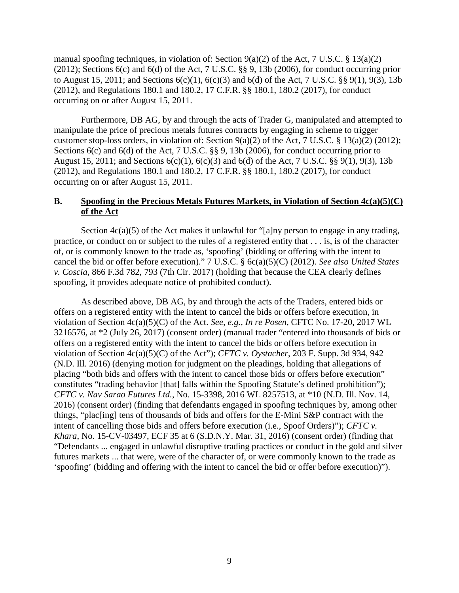manual spoofing techniques, in violation of: Section  $9(a)(2)$  of the Act, 7 U.S.C. § 13(a)(2) (2012); Sections 6(c) and 6(d) of the Act, 7 U.S.C. §§ 9, 13b (2006), for conduct occurring prior to August 15, 2011; and Sections 6(c)(1), 6(c)(3) and 6(d) of the Act, 7 U.S.C. §§ 9(1), 9(3), 13b (2012), and Regulations 180.1 and 180.2, 17 C.F.R. §§ 180.1, 180.2 (2017), for conduct occurring on or after August 15, 2011.

Furthermore, DB AG, by and through the acts of Trader G, manipulated and attempted to manipulate the price of precious metals futures contracts by engaging in scheme to trigger customer stop-loss orders, in violation of: Section 9(a)(2) of the Act, 7 U.S.C. § 13(a)(2) (2012); Sections 6(c) and 6(d) of the Act, 7 U.S.C. §§ 9, 13b (2006), for conduct occurring prior to August 15, 2011; and Sections 6(c)(1), 6(c)(3) and 6(d) of the Act, 7 U.S.C. §§ 9(1), 9(3), 13b (2012), and Regulations 180.1 and 180.2, 17 C.F.R. §§ 180.1, 180.2 (2017), for conduct occurring on or after August 15, 2011.

### **B. Spoofing in the Precious Metals Futures Markets, in Violation of Section 4c(a)(5)(C) of the Act**

Section  $4c(a)(5)$  of the Act makes it unlawful for "[a]ny person to engage in any trading, practice, or conduct on or subject to the rules of a registered entity that . . . is, is of the character of, or is commonly known to the trade as, 'spoofing' (bidding or offering with the intent to cancel the bid or offer before execution)." 7 U.S.C. § 6c(a)(5)(C) (2012). *See also United States v. Coscia*, 866 F.3d 782, 793 (7th Cir. 2017) (holding that because the CEA clearly defines spoofing, it provides adequate notice of prohibited conduct).

As described above, DB AG, by and through the acts of the Traders, entered bids or offers on a registered entity with the intent to cancel the bids or offers before execution, in violation of Section 4c(a)(5)(C) of the Act. *See, e.g., In re Posen*, CFTC No. 17-20, 2017 WL 3216576, at \*2 (July 26, 2017) (consent order) (manual trader "entered into thousands of bids or offers on a registered entity with the intent to cancel the bids or offers before execution in violation of Section 4c(a)(5)(C) of the Act"); *CFTC v. Oystacher*, 203 F. Supp. 3d 934, 942 (N.D. Ill. 2016) (denying motion for judgment on the pleadings, holding that allegations of placing "both bids and offers with the intent to cancel those bids or offers before execution" constitutes "trading behavior [that] falls within the Spoofing Statute's defined prohibition"); *CFTC v. Nav Sarao Futures Ltd.*, No. 15-3398, 2016 WL 8257513, at \*10 (N.D. Ill. Nov. 14, 2016) (consent order) (finding that defendants engaged in spoofing techniques by, among other things, "plac[ing] tens of thousands of bids and offers for the E-Mini S&P contract with the intent of cancelling those bids and offers before execution (i.e., Spoof Orders)"); *CFTC v. Khara*, No. 15-CV-03497, ECF 35 at 6 (S.D.N.Y. Mar. 31, 2016) (consent order) (finding that "Defendants ... engaged in unlawful disruptive trading practices or conduct in the gold and silver futures markets ... that were, were of the character of, or were commonly known to the trade as 'spoofing' (bidding and offering with the intent to cancel the bid or offer before execution)").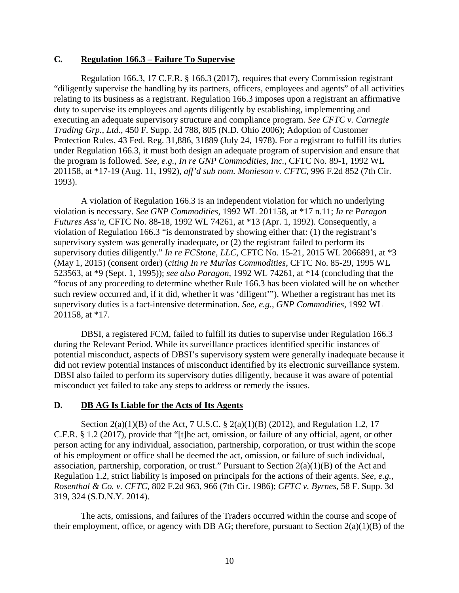## **C. Regulation 166.3 – Failure To Supervise**

Regulation 166.3, 17 C.F.R. § 166.3 (2017), requires that every Commission registrant "diligently supervise the handling by its partners, officers, employees and agents" of all activities relating to its business as a registrant. Regulation 166.3 imposes upon a registrant an affirmative duty to supervise its employees and agents diligently by establishing, implementing and executing an adequate supervisory structure and compliance program. *See CFTC v. Carnegie Trading Grp., Ltd.*, 450 F. Supp. 2d 788, 805 (N.D. Ohio 2006); Adoption of Customer Protection Rules, 43 Fed. Reg. 31,886, 31889 (July 24, 1978). For a registrant to fulfill its duties under Regulation 166.3, it must both design an adequate program of supervision and ensure that the program is followed. *See, e.g., In re GNP Commodities, Inc.*, CFTC No. 89-1, 1992 WL 201158, at \*17-19 (Aug. 11, 1992), *aff'd sub nom. Monieson v. CFTC*, 996 F.2d 852 (7th Cir. 1993).

A violation of Regulation 166.3 is an independent violation for which no underlying violation is necessary. *See GNP Commodities*, 1992 WL 201158, at \*17 n.11; *In re Paragon Futures Ass'n*, CFTC No. 88-18, 1992 WL 74261, at \*13 (Apr. 1, 1992). Consequently, a violation of Regulation 166.3 "is demonstrated by showing either that: (1) the registrant's supervisory system was generally inadequate, or (2) the registrant failed to perform its supervisory duties diligently." *In re FCStone, LLC*, CFTC No. 15-21, 2015 WL 2066891, at \*3 (May 1, 2015) (consent order) (*citing In re Murlas Commodities*, CFTC No. 85-29, 1995 WL 523563, at \*9 (Sept. 1, 1995)); *see also Paragon*, 1992 WL 74261, at \*14 (concluding that the "focus of any proceeding to determine whether Rule 166.3 has been violated will be on whether such review occurred and, if it did, whether it was 'diligent'"). Whether a registrant has met its supervisory duties is a fact-intensive determination. *See, e.g., GNP Commodities*, 1992 WL 201158, at \*17.

DBSI, a registered FCM, failed to fulfill its duties to supervise under Regulation 166.3 during the Relevant Period. While its surveillance practices identified specific instances of potential misconduct, aspects of DBSI's supervisory system were generally inadequate because it did not review potential instances of misconduct identified by its electronic surveillance system. DBSI also failed to perform its supervisory duties diligently, because it was aware of potential misconduct yet failed to take any steps to address or remedy the issues.

## **D. DB AG Is Liable for the Acts of Its Agents**

Section 2(a)(1)(B) of the Act, 7 U.S.C. § 2(a)(1)(B) (2012), and Regulation 1.2, 17 C.F.R. § 1.2 (2017), provide that "[t]he act, omission, or failure of any official, agent, or other person acting for any individual, association, partnership, corporation, or trust within the scope of his employment or office shall be deemed the act, omission, or failure of such individual, association, partnership, corporation, or trust." Pursuant to Section  $2(a)(1)(B)$  of the Act and Regulation 1.2, strict liability is imposed on principals for the actions of their agents. *See, e.g.*, *Rosenthal & Co. v. CFTC*, 802 F.2d 963, 966 (7th Cir. 1986); *CFTC v. Byrnes*, 58 F. Supp. 3d 319, 324 (S.D.N.Y. 2014).

The acts, omissions, and failures of the Traders occurred within the course and scope of their employment, office, or agency with DB AG; therefore, pursuant to Section  $2(a)(1)(B)$  of the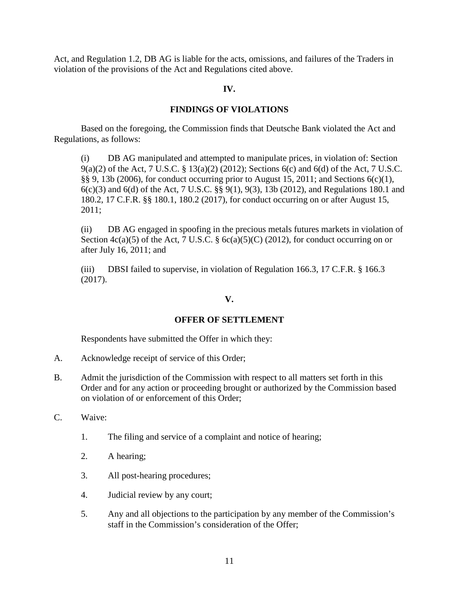Act, and Regulation 1.2, DB AG is liable for the acts, omissions, and failures of the Traders in violation of the provisions of the Act and Regulations cited above.

## **IV.**

# **FINDINGS OF VIOLATIONS**

Based on the foregoing, the Commission finds that Deutsche Bank violated the Act and Regulations, as follows:

(i) DB AG manipulated and attempted to manipulate prices, in violation of: Section 9(a)(2) of the Act, 7 U.S.C. § 13(a)(2) (2012); Sections 6(c) and 6(d) of the Act, 7 U.S.C. §§ 9, 13b (2006), for conduct occurring prior to August 15, 2011; and Sections 6(c)(1), 6(c)(3) and 6(d) of the Act, 7 U.S.C. §§ 9(1), 9(3), 13b (2012), and Regulations 180.1 and 180.2, 17 C.F.R. §§ 180.1, 180.2 (2017), for conduct occurring on or after August 15, 2011;

(ii) DB AG engaged in spoofing in the precious metals futures markets in violation of Section  $4c(a)(5)$  of the Act, 7 U.S.C. §  $6c(a)(5)(C)$  (2012), for conduct occurring on or after July 16, 2011; and

(iii) DBSI failed to supervise, in violation of Regulation 166.3, 17 C.F.R. § 166.3 (2017).

# **V.**

# **OFFER OF SETTLEMENT**

Respondents have submitted the Offer in which they:

- A. Acknowledge receipt of service of this Order;
- B. Admit the jurisdiction of the Commission with respect to all matters set forth in this Order and for any action or proceeding brought or authorized by the Commission based on violation of or enforcement of this Order;
- C. Waive:
	- 1. The filing and service of a complaint and notice of hearing;
	- 2. A hearing;
	- 3. All post-hearing procedures;
	- 4. Judicial review by any court;
	- 5. Any and all objections to the participation by any member of the Commission's staff in the Commission's consideration of the Offer;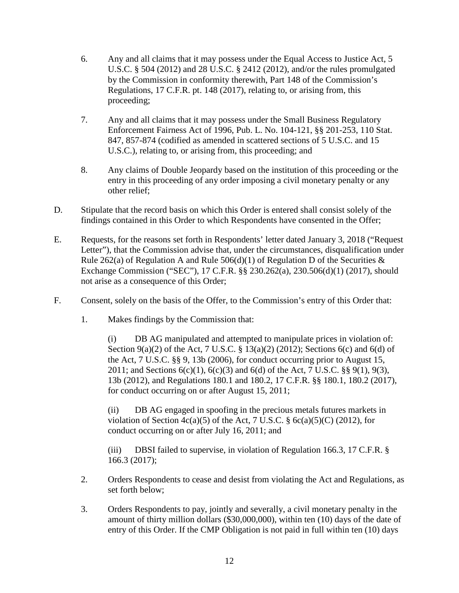- 6. Any and all claims that it may possess under the Equal Access to Justice Act, 5 U.S.C. § 504 (2012) and 28 U.S.C. § 2412 (2012), and/or the rules promulgated by the Commission in conformity therewith, Part 148 of the Commission's Regulations, 17 C.F.R. pt. 148 (2017), relating to, or arising from, this proceeding;
- 7. Any and all claims that it may possess under the Small Business Regulatory Enforcement Fairness Act of 1996, Pub. L. No. 104-121, §§ 201-253, 110 Stat. 847, 857-874 (codified as amended in scattered sections of 5 U.S.C. and 15 U.S.C.), relating to, or arising from, this proceeding; and
- 8. Any claims of Double Jeopardy based on the institution of this proceeding or the entry in this proceeding of any order imposing a civil monetary penalty or any other relief;
- D. Stipulate that the record basis on which this Order is entered shall consist solely of the findings contained in this Order to which Respondents have consented in the Offer;
- E. Requests, for the reasons set forth in Respondents' letter dated January 3, 2018 ("Request Letter"), that the Commission advise that, under the circumstances, disqualification under Rule 262(a) of Regulation A and Rule  $506(d)(1)$  of Regulation D of the Securities  $&$ Exchange Commission ("SEC"), 17 C.F.R. §§ 230.262(a), 230.506(d)(1) (2017), should not arise as a consequence of this Order;
- F. Consent, solely on the basis of the Offer, to the Commission's entry of this Order that:
	- 1. Makes findings by the Commission that:

(i) DB AG manipulated and attempted to manipulate prices in violation of: Section  $9(a)(2)$  of the Act, 7 U.S.C. § 13(a)(2) (2012); Sections 6(c) and 6(d) of the Act, 7 U.S.C. §§ 9, 13b (2006), for conduct occurring prior to August 15, 2011; and Sections  $6(c)(1)$ ,  $6(c)(3)$  and  $6(d)$  of the Act, 7 U.S.C. §§ 9(1), 9(3), 13b (2012), and Regulations 180.1 and 180.2, 17 C.F.R. §§ 180.1, 180.2 (2017), for conduct occurring on or after August 15, 2011;

(ii) DB AG engaged in spoofing in the precious metals futures markets in violation of Section  $4c(a)(5)$  of the Act, 7 U.S.C. § 6c(a)(5)(C) (2012), for conduct occurring on or after July 16, 2011; and

(iii) DBSI failed to supervise, in violation of Regulation 166.3, 17 C.F.R. § 166.3 (2017);

- 2. Orders Respondents to cease and desist from violating the Act and Regulations, as set forth below;
- 3. Orders Respondents to pay, jointly and severally, a civil monetary penalty in the amount of thirty million dollars (\$30,000,000), within ten (10) days of the date of entry of this Order. If the CMP Obligation is not paid in full within ten (10) days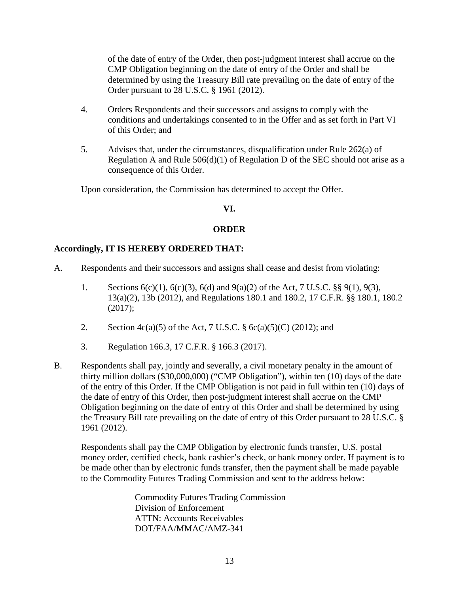of the date of entry of the Order, then post-judgment interest shall accrue on the CMP Obligation beginning on the date of entry of the Order and shall be determined by using the Treasury Bill rate prevailing on the date of entry of the Order pursuant to 28 U.S.C. § 1961 (2012).

- 4. Orders Respondents and their successors and assigns to comply with the conditions and undertakings consented to in the Offer and as set forth in Part VI of this Order; and
- 5. Advises that, under the circumstances, disqualification under Rule 262(a) of Regulation A and Rule  $506(d)(1)$  of Regulation D of the SEC should not arise as a consequence of this Order.

Upon consideration, the Commission has determined to accept the Offer.

## **VI.**

## **ORDER**

# **Accordingly, IT IS HEREBY ORDERED THAT:**

- A. Respondents and their successors and assigns shall cease and desist from violating:
	- 1. Sections 6(c)(1), 6(c)(3), 6(d) and 9(a)(2) of the Act, 7 U.S.C. §§ 9(1), 9(3), 13(a)(2), 13b (2012), and Regulations 180.1 and 180.2, 17 C.F.R. §§ 180.1, 180.2 (2017);
	- 2. Section  $4c(a)(5)$  of the Act, 7 U.S.C. § 6c(a)(5)(C) (2012); and
	- 3. Regulation 166.3, 17 C.F.R. § 166.3 (2017).
- B. Respondents shall pay, jointly and severally, a civil monetary penalty in the amount of thirty million dollars (\$30,000,000) ("CMP Obligation"), within ten (10) days of the date of the entry of this Order. If the CMP Obligation is not paid in full within ten (10) days of the date of entry of this Order, then post-judgment interest shall accrue on the CMP Obligation beginning on the date of entry of this Order and shall be determined by using the Treasury Bill rate prevailing on the date of entry of this Order pursuant to 28 U.S.C. § 1961 (2012).

Respondents shall pay the CMP Obligation by electronic funds transfer, U.S. postal money order, certified check, bank cashier's check, or bank money order. If payment is to be made other than by electronic funds transfer, then the payment shall be made payable to the Commodity Futures Trading Commission and sent to the address below:

> Commodity Futures Trading Commission Division of Enforcement ATTN: Accounts Receivables DOT/FAA/MMAC/AMZ-341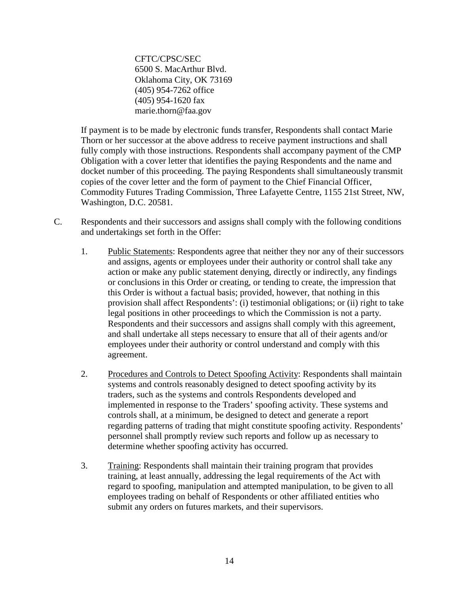CFTC/CPSC/SEC 6500 S. MacArthur Blvd. Oklahoma City, OK 73169 (405) 954-7262 office (405) 954-1620 fax [marie.thorn@faa.gov](mailto:marie.thorn@faa.gov)

If payment is to be made by electronic funds transfer, Respondents shall contact Marie Thorn or her successor at the above address to receive payment instructions and shall fully comply with those instructions. Respondents shall accompany payment of the CMP Obligation with a cover letter that identifies the paying Respondents and the name and docket number of this proceeding. The paying Respondents shall simultaneously transmit copies of the cover letter and the form of payment to the Chief Financial Officer, Commodity Futures Trading Commission, Three Lafayette Centre, 1155 21st Street, NW, Washington, D.C. 20581.

- C. Respondents and their successors and assigns shall comply with the following conditions and undertakings set forth in the Offer:
	- 1. Public Statements: Respondents agree that neither they nor any of their successors and assigns, agents or employees under their authority or control shall take any action or make any public statement denying, directly or indirectly, any findings or conclusions in this Order or creating, or tending to create, the impression that this Order is without a factual basis; provided, however, that nothing in this provision shall affect Respondents': (i) testimonial obligations; or (ii) right to take legal positions in other proceedings to which the Commission is not a party. Respondents and their successors and assigns shall comply with this agreement, and shall undertake all steps necessary to ensure that all of their agents and/or employees under their authority or control understand and comply with this agreement.
	- 2. Procedures and Controls to Detect Spoofing Activity: Respondents shall maintain systems and controls reasonably designed to detect spoofing activity by its traders, such as the systems and controls Respondents developed and implemented in response to the Traders' spoofing activity. These systems and controls shall, at a minimum, be designed to detect and generate a report regarding patterns of trading that might constitute spoofing activity. Respondents' personnel shall promptly review such reports and follow up as necessary to determine whether spoofing activity has occurred.
	- 3. Training: Respondents shall maintain their training program that provides training, at least annually, addressing the legal requirements of the Act with regard to spoofing, manipulation and attempted manipulation, to be given to all employees trading on behalf of Respondents or other affiliated entities who submit any orders on futures markets, and their supervisors.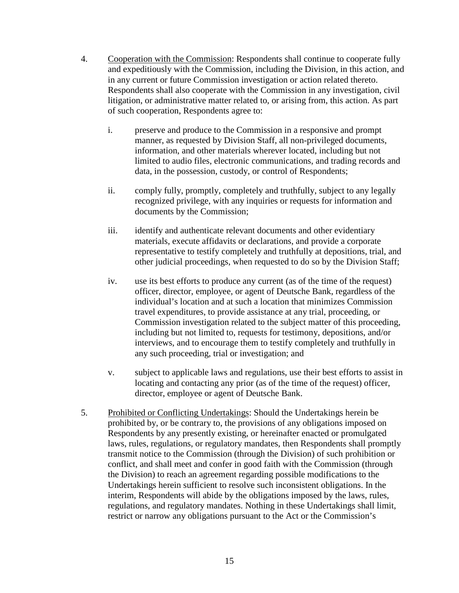- 4. Cooperation with the Commission: Respondents shall continue to cooperate fully and expeditiously with the Commission, including the Division, in this action, and in any current or future Commission investigation or action related thereto. Respondents shall also cooperate with the Commission in any investigation, civil litigation, or administrative matter related to, or arising from, this action. As part of such cooperation, Respondents agree to:
	- i. preserve and produce to the Commission in a responsive and prompt manner, as requested by Division Staff, all non-privileged documents, information, and other materials wherever located, including but not limited to audio files, electronic communications, and trading records and data, in the possession, custody, or control of Respondents;
	- ii. comply fully, promptly, completely and truthfully, subject to any legally recognized privilege, with any inquiries or requests for information and documents by the Commission;
	- iii. identify and authenticate relevant documents and other evidentiary materials, execute affidavits or declarations, and provide a corporate representative to testify completely and truthfully at depositions, trial, and other judicial proceedings, when requested to do so by the Division Staff;
	- iv. use its best efforts to produce any current (as of the time of the request) officer, director, employee, or agent of Deutsche Bank, regardless of the individual's location and at such a location that minimizes Commission travel expenditures, to provide assistance at any trial, proceeding, or Commission investigation related to the subject matter of this proceeding, including but not limited to, requests for testimony, depositions, and/or interviews, and to encourage them to testify completely and truthfully in any such proceeding, trial or investigation; and
	- v. subject to applicable laws and regulations, use their best efforts to assist in locating and contacting any prior (as of the time of the request) officer, director, employee or agent of Deutsche Bank.
- 5. Prohibited or Conflicting Undertakings: Should the Undertakings herein be prohibited by, or be contrary to, the provisions of any obligations imposed on Respondents by any presently existing, or hereinafter enacted or promulgated laws, rules, regulations, or regulatory mandates, then Respondents shall promptly transmit notice to the Commission (through the Division) of such prohibition or conflict, and shall meet and confer in good faith with the Commission (through the Division) to reach an agreement regarding possible modifications to the Undertakings herein sufficient to resolve such inconsistent obligations. In the interim, Respondents will abide by the obligations imposed by the laws, rules, regulations, and regulatory mandates. Nothing in these Undertakings shall limit, restrict or narrow any obligations pursuant to the Act or the Commission's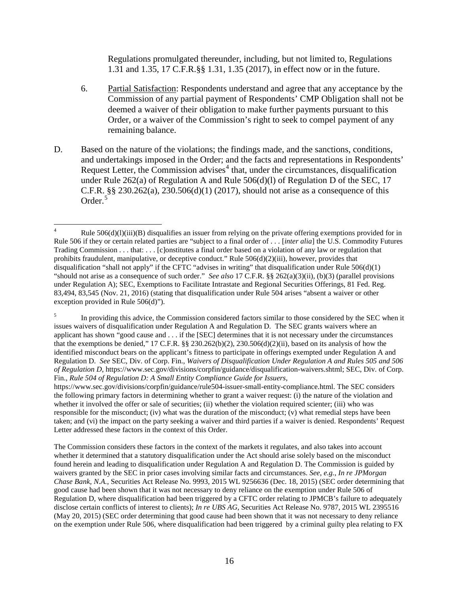Regulations promulgated thereunder, including, but not limited to, Regulations 1.31 and 1.35, 17 C.F.R.§§ 1.31, 1.35 (2017), in effect now or in the future.

- 6. Partial Satisfaction: Respondents understand and agree that any acceptance by the Commission of any partial payment of Respondents' CMP Obligation shall not be deemed a waiver of their obligation to make further payments pursuant to this Order, or a waiver of the Commission's right to seek to compel payment of any remaining balance.
- D. Based on the nature of the violations; the findings made, and the sanctions, conditions, and undertakings imposed in the Order; and the facts and representations in Respondents' Request Letter, the Commission advises<sup> $4$ </sup> that, under the circumstances, disqualification under Rule 262(a) of Regulation A and Rule 506(d)(l) of Regulation D of the SEC, 17 C.F.R.  $\S$ § 230.262(a), 230.506(d)(1) (2017), should not arise as a consequence of this Order.<sup>[5](#page-15-1)</sup>

The Commission considers these factors in the context of the markets it regulates, and also takes into account whether it determined that a statutory disqualification under the Act should arise solely based on the misconduct found herein and leading to disqualification under Regulation A and Regulation D. The Commission is guided by waivers granted by the SEC in prior cases involving similar facts and circumstances. *See*, *e.g.*, *In re JPMorgan Chase Bank, N.A.*, Securities Act Release No. 9993, 2015 WL 9256636 (Dec. 18, 2015) (SEC order determining that good cause had been shown that it was not necessary to deny reliance on the exemption under Rule 506 of Regulation D, where disqualification had been triggered by a CFTC order relating to JPMCB's failure to adequately disclose certain conflicts of interest to clients); *In re UBS AG*, Securities Act Release No. 9787, 2015 WL 2395516 (May 20, 2015) (SEC order determining that good cause had been shown that it was not necessary to deny reliance on the exemption under Rule 506, where disqualification had been triggered by a criminal guilty plea relating to FX

<span id="page-15-0"></span><sup>&</sup>lt;sup>4</sup> Rule 506(d)(l)(iii)(B) disqualifies an issuer from relying on the private offering exemptions provided for in Rule 506 if they or certain related parties are "subject to a final order of . . . [*inter alia*] the U.S. Commodity Futures Trading Commission . . . that: . . . [c]onstitutes a final order based on a violation of any law or regulation that prohibits fraudulent, manipulative, or deceptive conduct." Rule  $506(d)(2)(iii)$ , however, provides that disqualification "shall not apply" if the CFTC "advises in writing" that disqualification under Rule  $506(d)(1)$ "should not arise as a consequence of such order." *See also* 17 C.F.R. §§ 262(a)(3)(ii), (b)(3) (parallel provisions under Regulation A); SEC, Exemptions to Facilitate Intrastate and Regional Securities Offerings, 81 Fed. Reg. 83,494, 83,545 (Nov. 21, 2016) (stating that disqualification under Rule 504 arises "absent a waiver or other exception provided in Rule 506(d)").

<span id="page-15-1"></span><sup>&</sup>lt;sup>5</sup> In providing this advice, the Commission considered factors similar to those considered by the SEC when it issues waivers of disqualification under Regulation A and Regulation D. The SEC grants waivers where an applicant has shown "good cause and . . . if the [SEC] determines that it is not necessary under the circumstances that the exemptions be denied," 17 C.F.R. §§ 230.262(b)(2), 230.506(d)(2)(ii), based on its analysis of how the identified misconduct bears on the applicant's fitness to participate in offerings exempted under Regulation A and Regulation D. *See* SEC, Div. of Corp. Fin., *Waivers of Disqualification Under Regulation A and Rules 505 and 506 of Regulation D*, [https://www.sec.gov/divisions/corpfin/guidance/disqualification-waivers.shtml;](https://www.sec.gov/divisions/corpfin/guidance/disqualification-waivers.shtml) SEC, Div. of Corp. Fin., *Rule 504 of Regulation D: A Small Entity Compliance Guide for Issuers*,

https://www.sec.gov/divisions/corpfin/guidance/rule504-issuer-small-entity-compliance.html. The SEC considers the following primary factors in determining whether to grant a waiver request: (i) the nature of the violation and whether it involved the offer or sale of securities; (ii) whether the violation required scienter; (iii) who was responsible for the misconduct; (iv) what was the duration of the misconduct; (v) what remedial steps have been taken; and (vi) the impact on the party seeking a waiver and third parties if a waiver is denied. Respondents' Request Letter addressed these factors in the context of this Order.